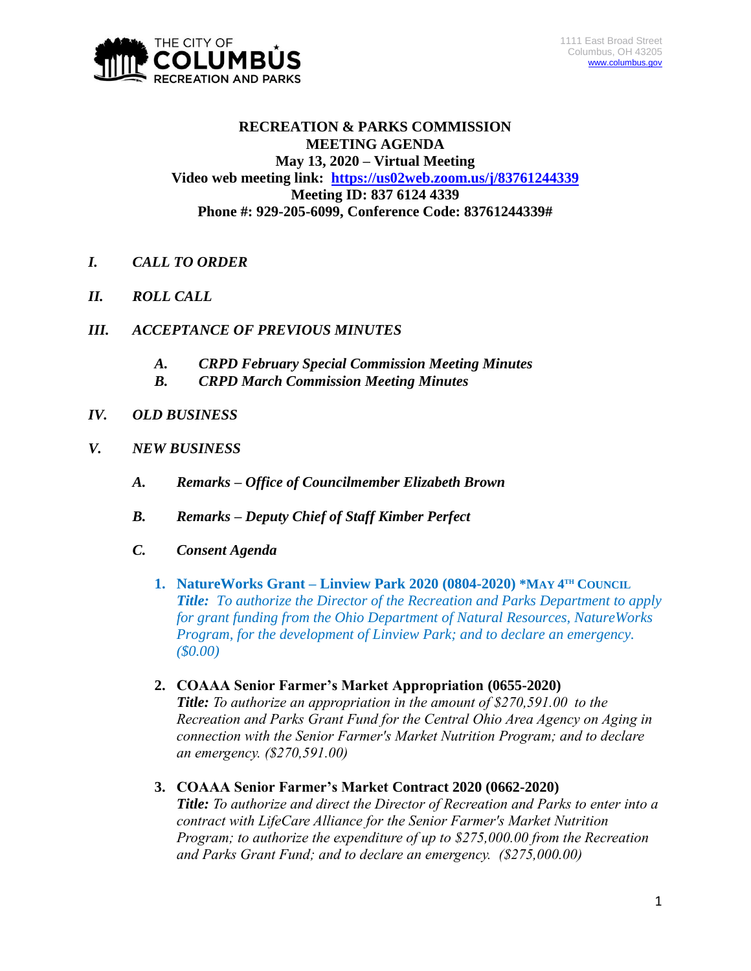

## **RECREATION & PARKS COMMISSION MEETING AGENDA May 13, 2020 – Virtual Meeting Video web meeting link: <https://us02web.zoom.us/j/83761244339> Meeting ID: 837 6124 4339 Phone #: 929-205-6099, Conference Code: 83761244339#**

- *I. CALL TO ORDER*
- *II. ROLL CALL*
- *III. ACCEPTANCE OF PREVIOUS MINUTES*
	- *A. CRPD February Special Commission Meeting Minutes*
	- *B. CRPD March Commission Meeting Minutes*
- *IV. OLD BUSINESS*
- *V. NEW BUSINESS*
	- *A. Remarks – Office of Councilmember Elizabeth Brown*
	- *B. Remarks – Deputy Chief of Staff Kimber Perfect*
	- *C. Consent Agenda*
		- **1. NatureWorks Grant Linview Park 2020 (0804-2020) \*MAY 4<sup>TH</sup> COUNCIL** *Title: To authorize the Director of the Recreation and Parks Department to apply for grant funding from the Ohio Department of Natural Resources, NatureWorks Program, for the development of Linview Park; and to declare an emergency. (\$0.00)*
		- **2. COAAA Senior Farmer's Market Appropriation (0655-2020)** *Title: To authorize an appropriation in the amount of \$270,591.00 to the Recreation and Parks Grant Fund for the Central Ohio Area Agency on Aging in connection with the Senior Farmer's Market Nutrition Program; and to declare an emergency. (\$270,591.00)*
		- **3. COAAA Senior Farmer's Market Contract 2020 (0662-2020)** *Title: To authorize and direct the Director of Recreation and Parks to enter into a contract with LifeCare Alliance for the Senior Farmer's Market Nutrition Program; to authorize the expenditure of up to \$275,000.00 from the Recreation and Parks Grant Fund; and to declare an emergency. (\$275,000.00)*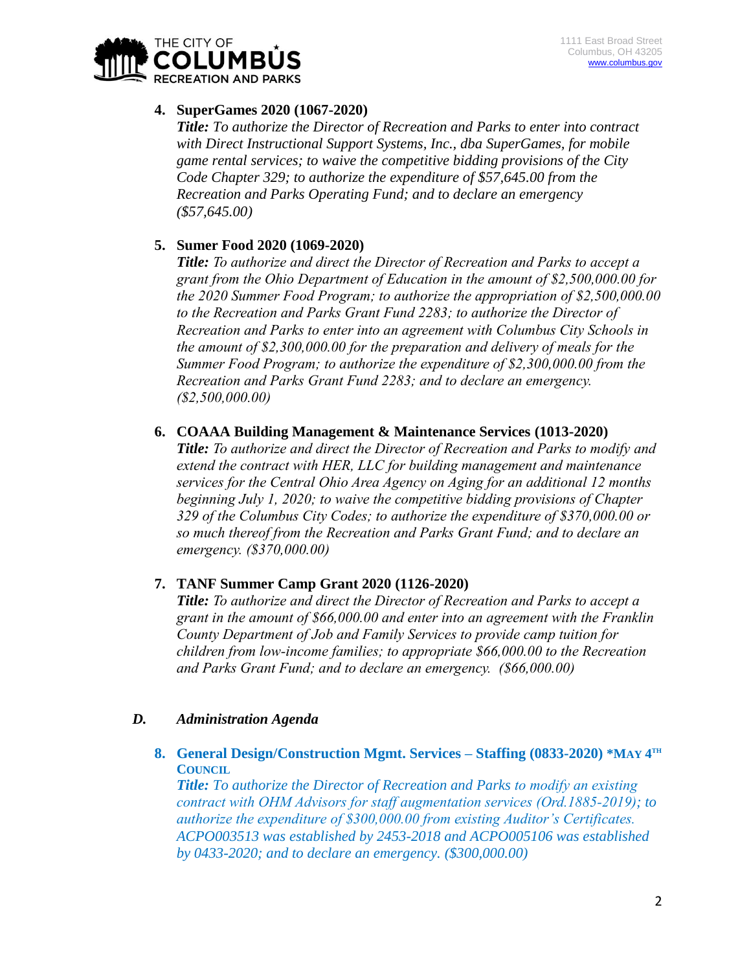

# **4. SuperGames 2020 (1067-2020)**

*Title: To authorize the Director of Recreation and Parks to enter into contract with Direct Instructional Support Systems, Inc., dba SuperGames, for mobile game rental services; to waive the competitive bidding provisions of the City Code Chapter 329; to authorize the expenditure of \$57,645.00 from the Recreation and Parks Operating Fund; and to declare an emergency (\$57,645.00)*

# **5. Sumer Food 2020 (1069-2020)**

*Title: To authorize and direct the Director of Recreation and Parks to accept a grant from the Ohio Department of Education in the amount of \$2,500,000.00 for the 2020 Summer Food Program; to authorize the appropriation of \$2,500,000.00 to the Recreation and Parks Grant Fund 2283; to authorize the Director of Recreation and Parks to enter into an agreement with Columbus City Schools in the amount of \$2,300,000.00 for the preparation and delivery of meals for the Summer Food Program; to authorize the expenditure of \$2,300,000.00 from the Recreation and Parks Grant Fund 2283; and to declare an emergency. (\$2,500,000.00)*

## **6. COAAA Building Management & Maintenance Services (1013-2020)**

*Title: To authorize and direct the Director of Recreation and Parks to modify and extend the contract with HER, LLC for building management and maintenance services for the Central Ohio Area Agency on Aging for an additional 12 months beginning July 1, 2020; to waive the competitive bidding provisions of Chapter 329 of the Columbus City Codes; to authorize the expenditure of \$370,000.00 or so much thereof from the Recreation and Parks Grant Fund; and to declare an emergency. (\$370,000.00)*

## **7. TANF Summer Camp Grant 2020 (1126-2020)**

*Title: To authorize and direct the Director of Recreation and Parks to accept a grant in the amount of \$66,000.00 and enter into an agreement with the Franklin County Department of Job and Family Services to provide camp tuition for children from low-income families; to appropriate \$66,000.00 to the Recreation and Parks Grant Fund; and to declare an emergency. (\$66,000.00)*

## *D. Administration Agenda*

**8. General Design/Construction Mgmt. Services – Staffing (0833-2020) \*MAY 4 TH COUNCIL**

*Title: To authorize the Director of Recreation and Parks to modify an existing contract with OHM Advisors for staff augmentation services (Ord.1885-2019); to authorize the expenditure of \$300,000.00 from existing Auditor's Certificates. ACPO003513 was established by 2453-2018 and ACPO005106 was established by 0433-2020; and to declare an emergency. (\$300,000.00)*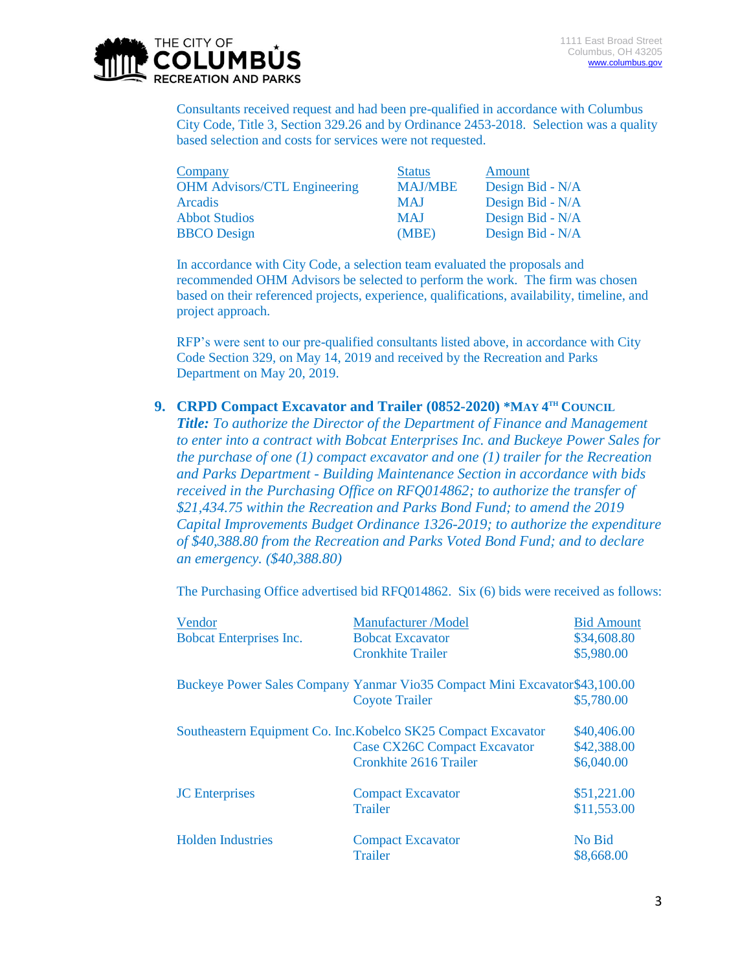

Consultants received request and had been pre-qualified in accordance with Columbus City Code, Title 3, Section 329.26 and by Ordinance 2453-2018. Selection was a quality based selection and costs for services were not requested.

| Company                             | <b>Status</b>  | Amount           |
|-------------------------------------|----------------|------------------|
| <b>OHM Advisors/CTL Engineering</b> | <b>MAJ/MBE</b> | Design Bid - N/A |
| Arcadis                             | <b>MAJ</b>     | Design Bid - N/A |
| <b>Abbot Studios</b>                | <b>MAJ</b>     | Design Bid - N/A |
| <b>BBCO</b> Design                  | (MBE)          | Design Bid - N/A |

In accordance with City Code, a selection team evaluated the proposals and recommended OHM Advisors be selected to perform the work. The firm was chosen based on their referenced projects, experience, qualifications, availability, timeline, and project approach.

RFP's were sent to our pre-qualified consultants listed above, in accordance with City Code Section 329, on May 14, 2019 and received by the Recreation and Parks Department on May 20, 2019.

#### **9. CRPD Compact Excavator and Trailer (0852-2020) \*MAY 4<sup>TH</sup> COUNCIL**

*Title: To authorize the Director of the Department of Finance and Management to enter into a contract with Bobcat Enterprises Inc. and Buckeye Power Sales for the purchase of one (1) compact excavator and one (1) trailer for the Recreation and Parks Department - Building Maintenance Section in accordance with bids received in the Purchasing Office on RFQ014862; to authorize the transfer of \$21,434.75 within the Recreation and Parks Bond Fund; to amend the 2019 Capital Improvements Budget Ordinance 1326-2019; to authorize the expenditure of \$40,388.80 from the Recreation and Parks Voted Bond Fund; and to declare an emergency. (\$40,388.80)*

The Purchasing Office advertised bid RFQ014862. Six (6) bids were received as follows:

| Vendor<br><b>Bobcat Enterprises Inc.</b> | <b>Manufacturer</b> / Model<br><b>Bobcat Excavator</b><br><b>Cronkhite Trailer</b>                                                     | <b>Bid Amount</b><br>\$34,608.80<br>\$5,980.00 |
|------------------------------------------|----------------------------------------------------------------------------------------------------------------------------------------|------------------------------------------------|
|                                          | Buckeye Power Sales Company Yanmar Vio35 Compact Mini Excavator \$43,100.00<br><b>Coyote Trailer</b>                                   | \$5,780.00                                     |
|                                          | Southeastern Equipment Co. Inc. Kobelco SK25 Compact Excavator<br><b>Case CX26C Compact Excavator</b><br><b>Cronkhite 2616 Trailer</b> | \$40,406.00<br>\$42,388.00<br>\$6,040.00       |
| <b>JC</b> Enterprises                    | <b>Compact Excavator</b><br><b>Trailer</b>                                                                                             | \$51,221.00<br>\$11,553.00                     |
| <b>Holden Industries</b>                 | <b>Compact Excavator</b><br><b>Trailer</b>                                                                                             | No Bid<br>\$8,668.00                           |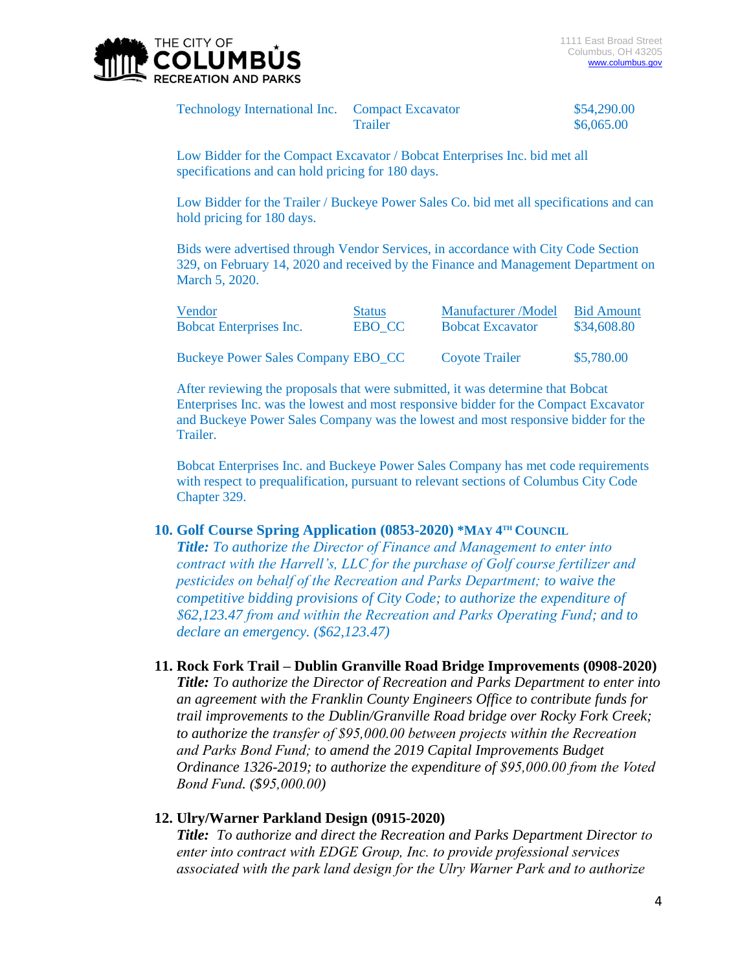

| Technology International Inc. Compact Excavator |         | \$54,290.00 |
|-------------------------------------------------|---------|-------------|
|                                                 | Trailer | \$6,065.00  |

Low Bidder for the Compact Excavator / Bobcat Enterprises Inc. bid met all specifications and can hold pricing for 180 days.

Low Bidder for the Trailer / Buckeye Power Sales Co. bid met all specifications and can hold pricing for 180 days.

Bids were advertised through Vendor Services, in accordance with City Code Section 329, on February 14, 2020 and received by the Finance and Management Department on March 5, 2020.

| Vendor                                    | <b>Status</b> | Manufacturer/Model      | <b>Bid Amount</b> |
|-------------------------------------------|---------------|-------------------------|-------------------|
| Bobcat Enterprises Inc.                   | EBO CC        | <b>Bobcat Excavator</b> | \$34,608.80       |
| <b>Buckeye Power Sales Company EBO_CC</b> |               | Coyote Trailer          | \$5,780.00        |

After reviewing the proposals that were submitted, it was determine that Bobcat Enterprises Inc. was the lowest and most responsive bidder for the Compact Excavator and Buckeye Power Sales Company was the lowest and most responsive bidder for the Trailer.

Bobcat Enterprises Inc. and Buckeye Power Sales Company has met code requirements with respect to prequalification, pursuant to relevant sections of Columbus City Code Chapter 329.

#### **10. Golf Course Spring Application (0853-2020) \*MAY**  $4^{\text{th}}$  **COUNCIL**

*Title: To authorize the Director of Finance and Management to enter into contract with the Harrell's, LLC for the purchase of Golf course fertilizer and pesticides on behalf of the Recreation and Parks Department; to waive the competitive bidding provisions of City Code; to authorize the expenditure of \$62,123.47 from and within the Recreation and Parks Operating Fund; and to declare an emergency. (\$62,123.47)*

#### **11. Rock Fork Trail – Dublin Granville Road Bridge Improvements (0908-2020)**

*Title: To authorize the Director of Recreation and Parks Department to enter into an agreement with the Franklin County Engineers Office to contribute funds for trail improvements to the Dublin/Granville Road bridge over Rocky Fork Creek; to authorize the transfer of \$95,000.00 between projects within the Recreation and Parks Bond Fund; to amend the 2019 Capital Improvements Budget Ordinance 1326-2019; to authorize the expenditure of \$95,000.00 from the Voted Bond Fund. (\$95,000.00)*

#### **12. Ulry/Warner Parkland Design (0915-2020)**

*Title: To authorize and direct the Recreation and Parks Department Director to enter into contract with EDGE Group, Inc. to provide professional services associated with the park land design for the Ulry Warner Park and to authorize*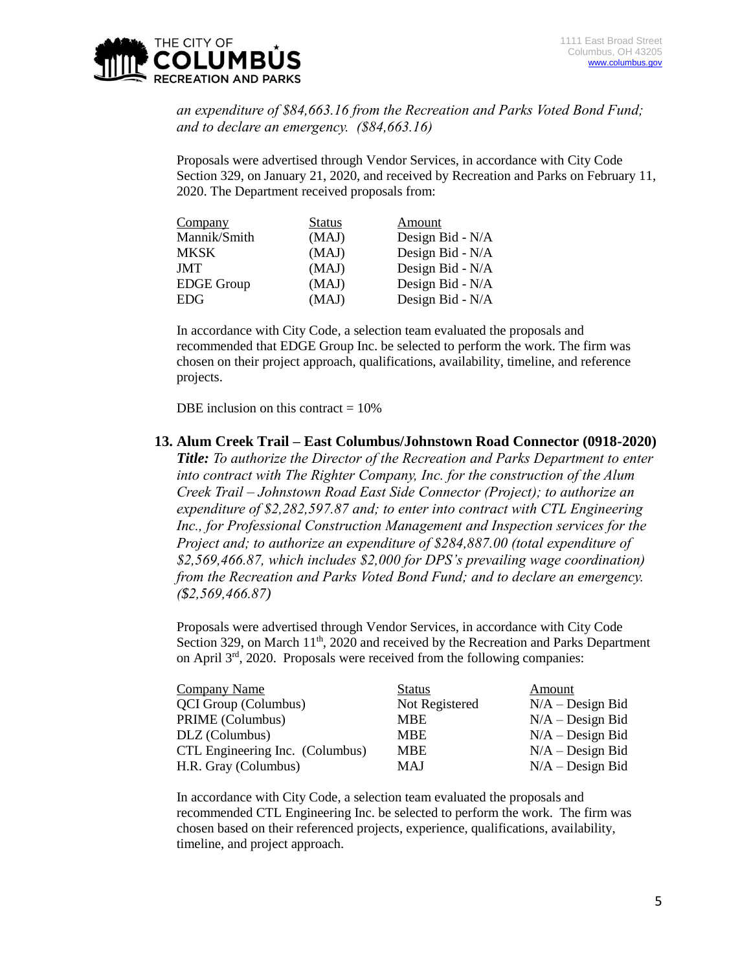

*an expenditure of \$84,663.16 from the Recreation and Parks Voted Bond Fund; and to declare an emergency. (\$84,663.16)*

Proposals were advertised through Vendor Services, in accordance with City Code Section 329, on January 21, 2020, and received by Recreation and Parks on February 11, 2020. The Department received proposals from:

| Company           | <b>Status</b> | Amount           |
|-------------------|---------------|------------------|
| Mannik/Smith      | (MAJ)         | Design Bid - N/A |
| <b>MKSK</b>       | (MAJ)         | Design Bid - N/A |
| <b>JMT</b>        | (MAJ)         | Design Bid - N/A |
| <b>EDGE</b> Group | (MAJ)         | Design Bid - N/A |
| <b>EDG</b>        | (MAJ)         | Design Bid - N/A |

In accordance with City Code, a selection team evaluated the proposals and recommended that EDGE Group Inc. be selected to perform the work. The firm was chosen on their project approach, qualifications, availability, timeline, and reference projects.

DBE inclusion on this contract  $= 10\%$ 

#### **13. Alum Creek Trail – East Columbus/Johnstown Road Connector (0918-2020)**

*Title: To authorize the Director of the Recreation and Parks Department to enter into contract with The Righter Company, Inc. for the construction of the Alum Creek Trail – Johnstown Road East Side Connector (Project); to authorize an expenditure of \$2,282,597.87 and; to enter into contract with CTL Engineering Inc., for Professional Construction Management and Inspection services for the Project and; to authorize an expenditure of \$284,887.00 (total expenditure of \$2,569,466.87, which includes \$2,000 for DPS's prevailing wage coordination) from the Recreation and Parks Voted Bond Fund; and to declare an emergency. (\$2,569,466.87)*

Proposals were advertised through Vendor Services, in accordance with City Code Section 329, on March  $11<sup>th</sup>$ , 2020 and received by the Recreation and Parks Department on April 3rd, 2020. Proposals were received from the following companies:

| <b>Company Name</b>             | <b>Status</b>  | Amount             |
|---------------------------------|----------------|--------------------|
| <b>QCI</b> Group (Columbus)     | Not Registered | $N/A - Design Bid$ |
| PRIME (Columbus)                | <b>MBE</b>     | $N/A - Design Bid$ |
| DLZ (Columbus)                  | <b>MBE</b>     | $N/A - Design Bid$ |
| CTL Engineering Inc. (Columbus) | <b>MBE</b>     | $N/A - Design Bid$ |
| H.R. Gray (Columbus)            | MAJ            | $N/A - Design Bid$ |

In accordance with City Code, a selection team evaluated the proposals and recommended CTL Engineering Inc. be selected to perform the work. The firm was chosen based on their referenced projects, experience, qualifications, availability, timeline, and project approach.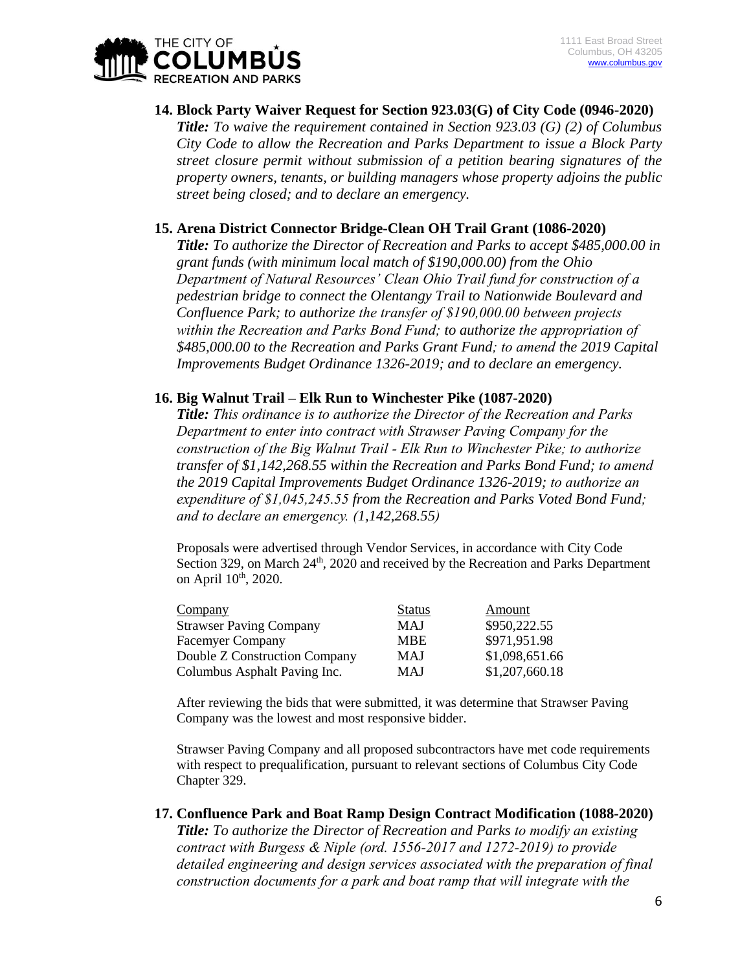

**14. Block Party Waiver Request for Section 923.03(G) of City Code (0946-2020)** *Title: To waive the requirement contained in Section 923.03 (G) (2) of Columbus City Code to allow the Recreation and Parks Department to issue a Block Party street closure permit without submission of a petition bearing signatures of the property owners, tenants, or building managers whose property adjoins the public street being closed; and to declare an emergency.*

#### **15. Arena District Connector Bridge-Clean OH Trail Grant (1086-2020)**

*Title: To authorize the Director of Recreation and Parks to accept \$485,000.00 in grant funds (with minimum local match of \$190,000.00) from the Ohio Department of Natural Resources' Clean Ohio Trail fund for construction of a pedestrian bridge to connect the Olentangy Trail to Nationwide Boulevard and Confluence Park; to authorize the transfer of \$190,000.00 between projects within the Recreation and Parks Bond Fund; to authorize the appropriation of \$485,000.00 to the Recreation and Parks Grant Fund; to amend the 2019 Capital Improvements Budget Ordinance 1326-2019; and to declare an emergency.*

#### **16. Big Walnut Trail – Elk Run to Winchester Pike (1087-2020)**

*Title: This ordinance is to authorize the Director of the Recreation and Parks Department to enter into contract with Strawser Paving Company for the construction of the Big Walnut Trail - Elk Run to Winchester Pike; to authorize transfer of \$1,142,268.55 within the Recreation and Parks Bond Fund; to amend the 2019 Capital Improvements Budget Ordinance 1326-2019; to authorize an expenditure of \$1,045,245.55 from the Recreation and Parks Voted Bond Fund; and to declare an emergency. (1,142,268.55)*

Proposals were advertised through Vendor Services, in accordance with City Code Section 329, on March 24<sup>th</sup>, 2020 and received by the Recreation and Parks Department on April  $10^{th}$ , 2020.

| Company                        | <b>Status</b> | Amount         |
|--------------------------------|---------------|----------------|
| <b>Strawser Paving Company</b> | MAJ           | \$950,222.55   |
| <b>Facemyer Company</b>        | <b>MBE</b>    | \$971,951.98   |
| Double Z Construction Company  | <b>MAJ</b>    | \$1,098,651.66 |
| Columbus Asphalt Paving Inc.   | <b>MAJ</b>    | \$1,207,660.18 |

After reviewing the bids that were submitted, it was determine that Strawser Paving Company was the lowest and most responsive bidder.

Strawser Paving Company and all proposed subcontractors have met code requirements with respect to prequalification, pursuant to relevant sections of Columbus City Code Chapter 329.

#### **17. Confluence Park and Boat Ramp Design Contract Modification (1088-2020)**

*Title: To authorize the Director of Recreation and Parks to modify an existing contract with Burgess & Niple (ord. 1556-2017 and 1272-2019) to provide detailed engineering and design services associated with the preparation of final construction documents for a park and boat ramp that will integrate with the*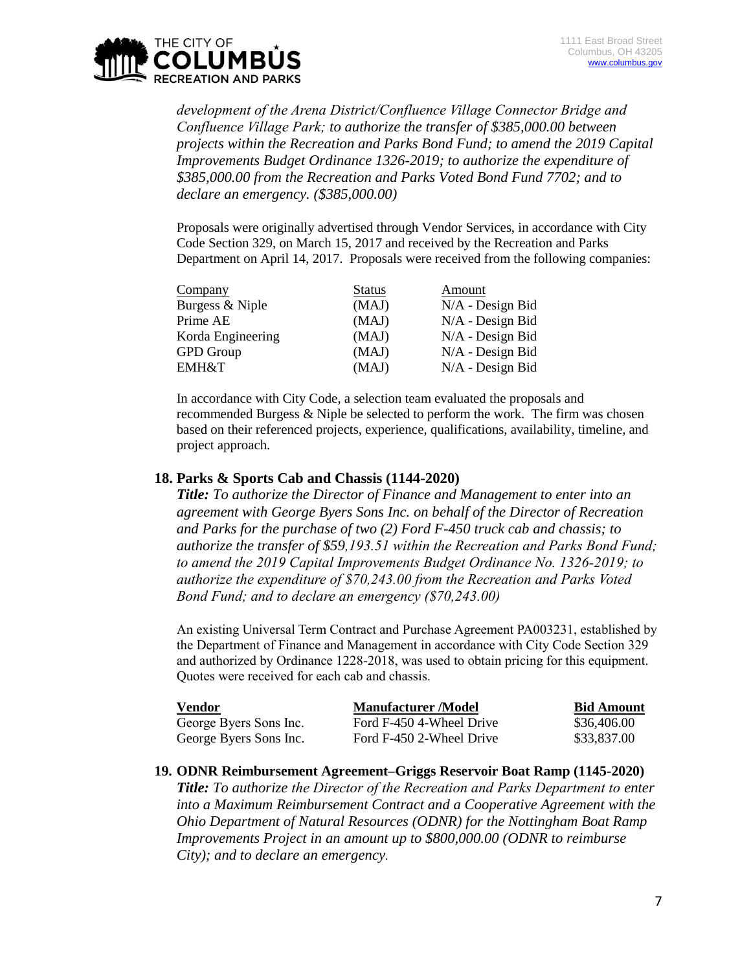

*development of the Arena District/Confluence Village Connector Bridge and Confluence Village Park; to authorize the transfer of \$385,000.00 between projects within the Recreation and Parks Bond Fund; to amend the 2019 Capital Improvements Budget Ordinance 1326-2019; to authorize the expenditure of \$385,000.00 from the Recreation and Parks Voted Bond Fund 7702; and to declare an emergency. (\$385,000.00)*

Proposals were originally advertised through Vendor Services, in accordance with City Code Section 329, on March 15, 2017 and received by the Recreation and Parks Department on April 14, 2017. Proposals were received from the following companies:

| Company           | <b>Status</b> | Amount             |
|-------------------|---------------|--------------------|
| Burgess & Niple   | (MAJ)         | $N/A$ - Design Bid |
| Prime AE          | (MAJ)         | N/A - Design Bid   |
| Korda Engineering | (MAJ)         | $N/A$ - Design Bid |
| <b>GPD</b> Group  | (MAJ)         | $N/A$ - Design Bid |
| <b>EMH&amp;T</b>  | (MAJ)         | $N/A$ - Design Bid |

In accordance with City Code, a selection team evaluated the proposals and recommended Burgess & Niple be selected to perform the work. The firm was chosen based on their referenced projects, experience, qualifications, availability, timeline, and project approach.

#### **18. Parks & Sports Cab and Chassis (1144-2020)**

*Title: To authorize the Director of Finance and Management to enter into an agreement with George Byers Sons Inc. on behalf of the Director of Recreation and Parks for the purchase of two (2) Ford F-450 truck cab and chassis; to authorize the transfer of \$59,193.51 within the Recreation and Parks Bond Fund; to amend the 2019 Capital Improvements Budget Ordinance No. 1326-2019; to authorize the expenditure of \$70,243.00 from the Recreation and Parks Voted Bond Fund; and to declare an emergency (\$70,243.00)*

An existing Universal Term Contract and Purchase Agreement PA003231, established by the Department of Finance and Management in accordance with City Code Section 329 and authorized by Ordinance 1228-2018, was used to obtain pricing for this equipment. Quotes were received for each cab and chassis.

| Vendor                 | <b>Manufacturer</b> /Model | <b>Bid Amount</b> |
|------------------------|----------------------------|-------------------|
| George Byers Sons Inc. | Ford F-450 4-Wheel Drive   | \$36,406.00       |
| George Byers Sons Inc. | Ford F-450 2-Wheel Drive   | \$33,837.00       |

#### **19. ODNR Reimbursement Agreement–Griggs Reservoir Boat Ramp (1145-2020)**

*Title: To authorize the Director of the Recreation and Parks Department to enter into a Maximum Reimbursement Contract and a Cooperative Agreement with the Ohio Department of Natural Resources (ODNR) for the Nottingham Boat Ramp Improvements Project in an amount up to \$800,000.00 (ODNR to reimburse City); and to declare an emergency.*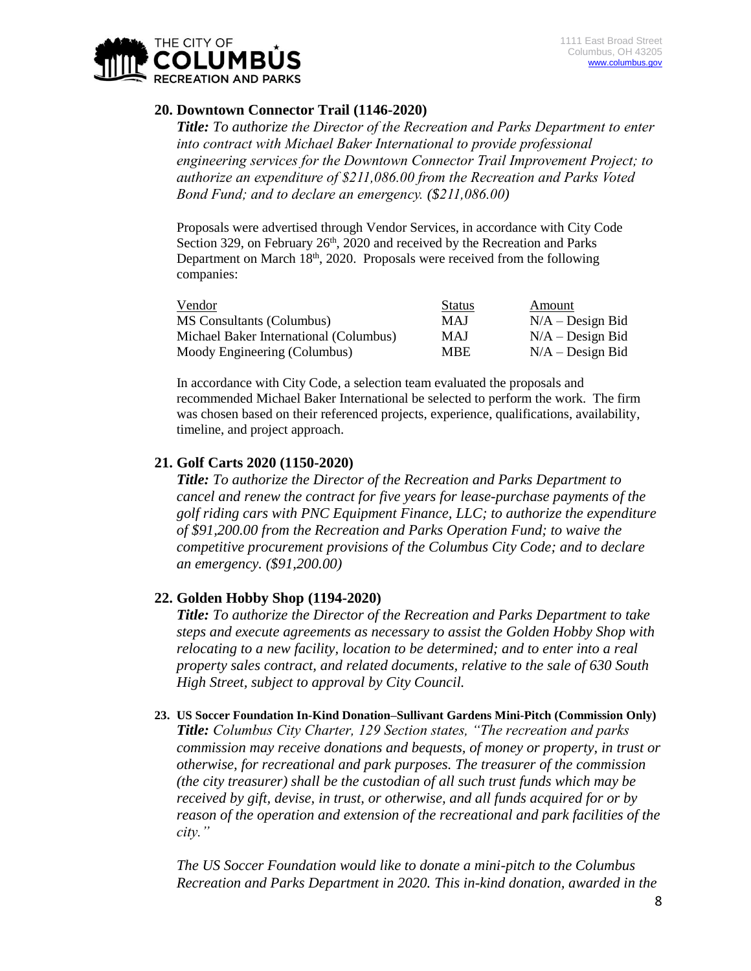

## **20. Downtown Connector Trail (1146-2020)**

*Title: To authorize the Director of the Recreation and Parks Department to enter into contract with Michael Baker International to provide professional engineering services for the Downtown Connector Trail Improvement Project; to authorize an expenditure of \$211,086.00 from the Recreation and Parks Voted Bond Fund; and to declare an emergency. (\$211,086.00)*

Proposals were advertised through Vendor Services, in accordance with City Code Section 329, on February  $26<sup>th</sup>$ , 2020 and received by the Recreation and Parks Department on March  $18<sup>th</sup>$ , 2020. Proposals were received from the following companies:

| Vendor                                 | <b>Status</b> | Amount             |
|----------------------------------------|---------------|--------------------|
| MS Consultants (Columbus)              | MAJ           | $N/A - Design Bid$ |
| Michael Baker International (Columbus) | <b>MAJ</b>    | $N/A - Design Bid$ |
| Moody Engineering (Columbus)           | <b>MBE</b>    | $N/A - Design Bid$ |

In accordance with City Code, a selection team evaluated the proposals and recommended Michael Baker International be selected to perform the work. The firm was chosen based on their referenced projects, experience, qualifications, availability, timeline, and project approach.

## **21. Golf Carts 2020 (1150-2020)**

*Title: To authorize the Director of the Recreation and Parks Department to cancel and renew the contract for five years for lease-purchase payments of the golf riding cars with PNC Equipment Finance, LLC; to authorize the expenditure of \$91,200.00 from the Recreation and Parks Operation Fund; to waive the competitive procurement provisions of the Columbus City Code; and to declare an emergency. (\$91,200.00)*

## **22. Golden Hobby Shop (1194-2020)**

*Title: To authorize the Director of the Recreation and Parks Department to take steps and execute agreements as necessary to assist the Golden Hobby Shop with relocating to a new facility, location to be determined; and to enter into a real property sales contract, and related documents, relative to the sale of 630 South High Street, subject to approval by City Council.*

## **23. US Soccer Foundation In-Kind Donation–Sullivant Gardens Mini-Pitch (Commission Only)**

*Title: Columbus City Charter, 129 Section states, "The recreation and parks commission may receive donations and bequests, of money or property, in trust or otherwise, for recreational and park purposes. The treasurer of the commission (the city treasurer) shall be the custodian of all such trust funds which may be received by gift, devise, in trust, or otherwise, and all funds acquired for or by reason of the operation and extension of the recreational and park facilities of the city."*

*The US Soccer Foundation would like to donate a mini-pitch to the Columbus Recreation and Parks Department in 2020. This in-kind donation, awarded in the*